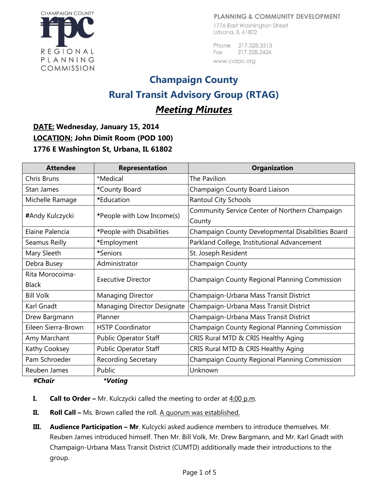#### PLANNING & COMMUNITY DEVELOPMENT

**CHAMPAIGN COUNTY** REGIONAL PLANNING COMMISSION

1776 East Washington Street Urbana, IL 61802

Phone 217.328.3313 217.328.2426 Fax www.ccrpc.org

# **Champaign County Rural Transit Advisory Group (RTAG)**

# *Meeting Minutes*

**DATE: Wednesday, January 15, 2014 LOCATION: John Dimit Room (POD 100) 1776 E Washington St, Urbana, IL 61802**

| <b>Attendee</b>     | <b>Representation</b>        | <b>Organization</b>                               |
|---------------------|------------------------------|---------------------------------------------------|
| Chris Bruns         | *Medical                     | The Pavilion                                      |
| <b>Stan James</b>   | *County Board                | Champaign County Board Liaison                    |
| Michelle Ramage     | *Education                   | <b>Rantoul City Schools</b>                       |
| #Andy Kulczycki     | *People with Low Income(s)   | Community Service Center of Northern Champaign    |
|                     |                              | County                                            |
| Elaine Palencia     | *People with Disabilities    | Champaign County Developmental Disabilities Board |
| Seamus Reilly       | *Employment                  | Parkland College, Institutional Advancement       |
| Mary Sleeth         | *Seniors                     | St. Joseph Resident                               |
| Debra Busey         | Administrator                | Champaign County                                  |
| Rita Morocoima-     | <b>Executive Director</b>    | Champaign County Regional Planning Commission     |
| <b>Black</b>        |                              |                                                   |
| <b>Bill Volk</b>    | <b>Managing Director</b>     | Champaign-Urbana Mass Transit District            |
| Karl Gnadt          | Managing Director Designate  | Champaign-Urbana Mass Transit District            |
| Drew Bargmann       | Planner                      | Champaign-Urbana Mass Transit District            |
| Eileen Sierra-Brown | <b>HSTP Coordinator</b>      | Champaign County Regional Planning Commission     |
| Amy Marchant        | <b>Public Operator Staff</b> | CRIS Rural MTD & CRIS Healthy Aging               |
| Kathy Cooksey       | <b>Public Operator Staff</b> | CRIS Rural MTD & CRIS Healthy Aging               |
| Pam Schroeder       | <b>Recording Secretary</b>   | Champaign County Regional Planning Commission     |
| Reuben James        | Public                       | Unknown                                           |
| #Chair              | *Voting                      |                                                   |

- **I. Call to Order** Mr. Kulczycki called the meeting to order at  $4:00$  p.m.
- **II. Roll Call** Ms. Brown called the roll. A quorum was established.
- **III.** Audience Participation Mr. Kulcycki asked audience members to introduce themselves. Mr. Reuben James introduced himself. Then Mr. Bill Volk, Mr. Drew Bargmann, and Mr. Karl Gnadt with Champaign-Urbana Mass Transit District (CUMTD) additionally made their introductions to the group.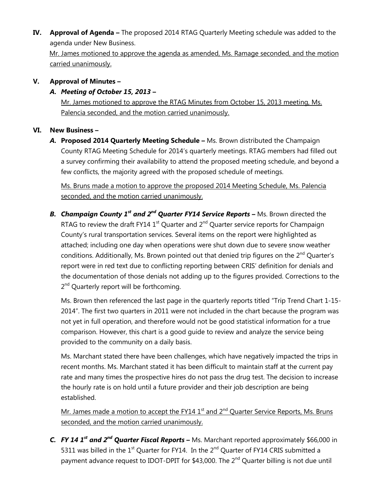**IV. Approval of Agenda –** The proposed 2014 RTAG Quarterly Meeting schedule was added to the agenda under New Business.

Mr. James motioned to approve the agenda as amended, Ms. Ramage seconded, and the motion carried unanimously.

## **V. Approval of Minutes –**

## *A. Meeting of October 15, 2013* **–**

Mr. James motioned to approve the RTAG Minutes from October 15, 2013 meeting, Ms. Palencia seconded, and the motion carried unanimously.

## **VI. New Business –**

*A.* **Proposed 2014 Quarterly Meeting Schedule –** Ms. Brown distributed the Champaign County RTAG Meeting Schedule for 2014's quarterly meetings. RTAG members had filled out a survey confirming their availability to attend the proposed meeting schedule, and beyond a few conflicts, the majority agreed with the proposed schedule of meetings.

Ms. Bruns made a motion to approve the proposed 2014 Meeting Schedule, Ms. Palencia seconded, and the motion carried unanimously.

*B. Champaign County 1st and 2nd Quarter FY14 Service Reports* **–** Ms. Brown directed the RTAG to review the draft FY14  $1<sup>st</sup>$  Quarter and  $2<sup>nd</sup>$  Quarter service reports for Champaign County's rural transportation services. Several items on the report were highlighted as attached; including one day when operations were shut down due to severe snow weather conditions. Additionally, Ms. Brown pointed out that denied trip figures on the 2<sup>nd</sup> Quarter's report were in red text due to conflicting reporting between CRIS' definition for denials and the documentation of those denials not adding up to the figures provided. Corrections to the 2<sup>nd</sup> Quarterly report will be forthcoming.

Ms. Brown then referenced the last page in the quarterly reports titled "Trip Trend Chart 1-15- 2014". The first two quarters in 2011 were not included in the chart because the program was not yet in full operation, and therefore would not be good statistical information for a true comparison. However, this chart is a good guide to review and analyze the service being provided to the community on a daily basis.

Ms. Marchant stated there have been challenges, which have negatively impacted the trips in recent months. Ms. Marchant stated it has been difficult to maintain staff at the current pay rate and many times the prospective hires do not pass the drug test. The decision to increase the hourly rate is on hold until a future provider and their job description are being established.

Mr. James made a motion to accept the FY14 1<sup>st</sup> and 2<sup>nd</sup> Quarter Service Reports, Ms. Bruns seconded, and the motion carried unanimously.

*C. FY 14 1 st and 2nd Quarter Fiscal Reports* **–** Ms. Marchant reported approximately \$66,000 in 5311 was billed in the  $1<sup>st</sup>$  Quarter for FY14. In the  $2<sup>nd</sup>$  Quarter of FY14 CRIS submitted a payment advance request to IDOT-DPIT for \$43,000. The 2<sup>nd</sup> Quarter billing is not due until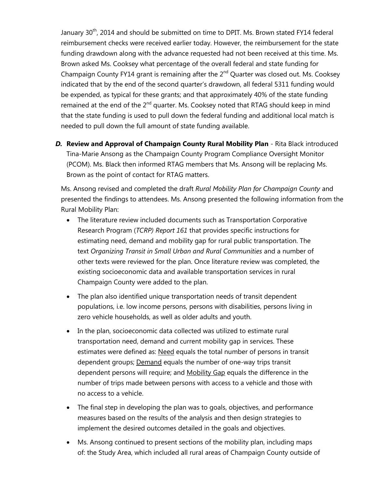January 30<sup>th</sup>, 2014 and should be submitted on time to DPIT. Ms. Brown stated FY14 federal reimbursement checks were received earlier today. However, the reimbursement for the state funding drawdown along with the advance requested had not been received at this time. Ms. Brown asked Ms. Cooksey what percentage of the overall federal and state funding for Champaign County FY14 grant is remaining after the  $2<sup>nd</sup>$  Quarter was closed out. Ms. Cooksey indicated that by the end of the second quarter's drawdown, all federal 5311 funding would be expended, as typical for these grants; and that approximately 40% of the state funding remained at the end of the  $2<sup>nd</sup>$  quarter. Ms. Cooksey noted that RTAG should keep in mind that the state funding is used to pull down the federal funding and additional local match is needed to pull down the full amount of state funding available.

*D.* **Review and Approval of Champaign County Rural Mobility Plan** - Rita Black introduced Tina-Marie Ansong as the Champaign County Program Compliance Oversight Monitor (PCOM). Ms. Black then informed RTAG members that Ms. Ansong will be replacing Ms. Brown as the point of contact for RTAG matters.

Ms. Ansong revised and completed the draft *Rural Mobility Plan for Champaign County* and presented the findings to attendees. Ms. Ansong presented the following information from the Rural Mobility Plan:

- The literature review included documents such as Transportation Corporative Research Program (*TCRP) Report 161* that provides specific instructions for estimating need, demand and mobility gap for rural public transportation. The text *Organizing Transit in Small Urban and Rural Communities* and a number of other texts were reviewed for the plan. Once literature review was completed, the existing socioeconomic data and available transportation services in rural Champaign County were added to the plan.
- The plan also identified unique transportation needs of transit dependent populations, i.e. low income persons, persons with disabilities, persons living in zero vehicle households, as well as older adults and youth.
- In the plan, socioeconomic data collected was utilized to estimate rural transportation need, demand and current mobility gap in services. These estimates were defined as: Need equals the total number of persons in transit dependent groups; Demand equals the number of one-way trips transit dependent persons will require; and Mobility Gap equals the difference in the number of trips made between persons with access to a vehicle and those with no access to a vehicle.
- The final step in developing the plan was to goals, objectives, and performance measures based on the results of the analysis and then design strategies to implement the desired outcomes detailed in the goals and objectives.
- Ms. Ansong continued to present sections of the mobility plan, including maps of: the Study Area, which included all rural areas of Champaign County outside of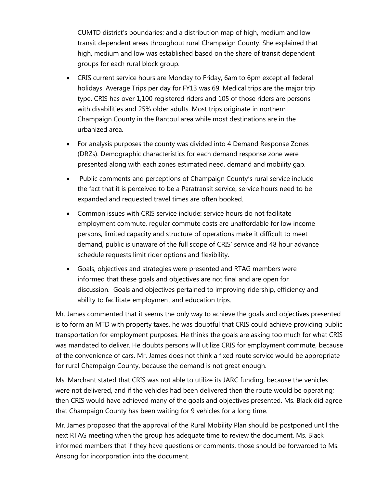CUMTD district's boundaries; and a distribution map of high, medium and low transit dependent areas throughout rural Champaign County. She explained that high, medium and low was established based on the share of transit dependent groups for each rural block group.

- CRIS current service hours are Monday to Friday, 6am to 6pm except all federal holidays. Average Trips per day for FY13 was 69. Medical trips are the major trip type. CRIS has over 1,100 registered riders and 105 of those riders are persons with disabilities and 25% older adults. Most trips originate in northern Champaign County in the Rantoul area while most destinations are in the urbanized area.
- For analysis purposes the county was divided into 4 Demand Response Zones (DRZs). Demographic characteristics for each demand response zone were presented along with each zones estimated need, demand and mobility gap.
- Public comments and perceptions of Champaign County's rural service include the fact that it is perceived to be a Paratransit service, service hours need to be expanded and requested travel times are often booked.
- Common issues with CRIS service include: service hours do not facilitate employment commute, regular commute costs are unaffordable for low income persons, limited capacity and structure of operations make it difficult to meet demand, public is unaware of the full scope of CRIS' service and 48 hour advance schedule requests limit rider options and flexibility.
- Goals, objectives and strategies were presented and RTAG members were informed that these goals and objectives are not final and are open for discussion. Goals and objectives pertained to improving ridership, efficiency and ability to facilitate employment and education trips.

Mr. James commented that it seems the only way to achieve the goals and objectives presented is to form an MTD with property taxes, he was doubtful that CRIS could achieve providing public transportation for employment purposes. He thinks the goals are asking too much for what CRIS was mandated to deliver. He doubts persons will utilize CRIS for employment commute, because of the convenience of cars. Mr. James does not think a fixed route service would be appropriate for rural Champaign County, because the demand is not great enough.

Ms. Marchant stated that CRIS was not able to utilize its JARC funding, because the vehicles were not delivered, and if the vehicles had been delivered then the route would be operating; then CRIS would have achieved many of the goals and objectives presented. Ms. Black did agree that Champaign County has been waiting for 9 vehicles for a long time.

Mr. James proposed that the approval of the Rural Mobility Plan should be postponed until the next RTAG meeting when the group has adequate time to review the document. Ms. Black informed members that if they have questions or comments, those should be forwarded to Ms. Ansong for incorporation into the document.